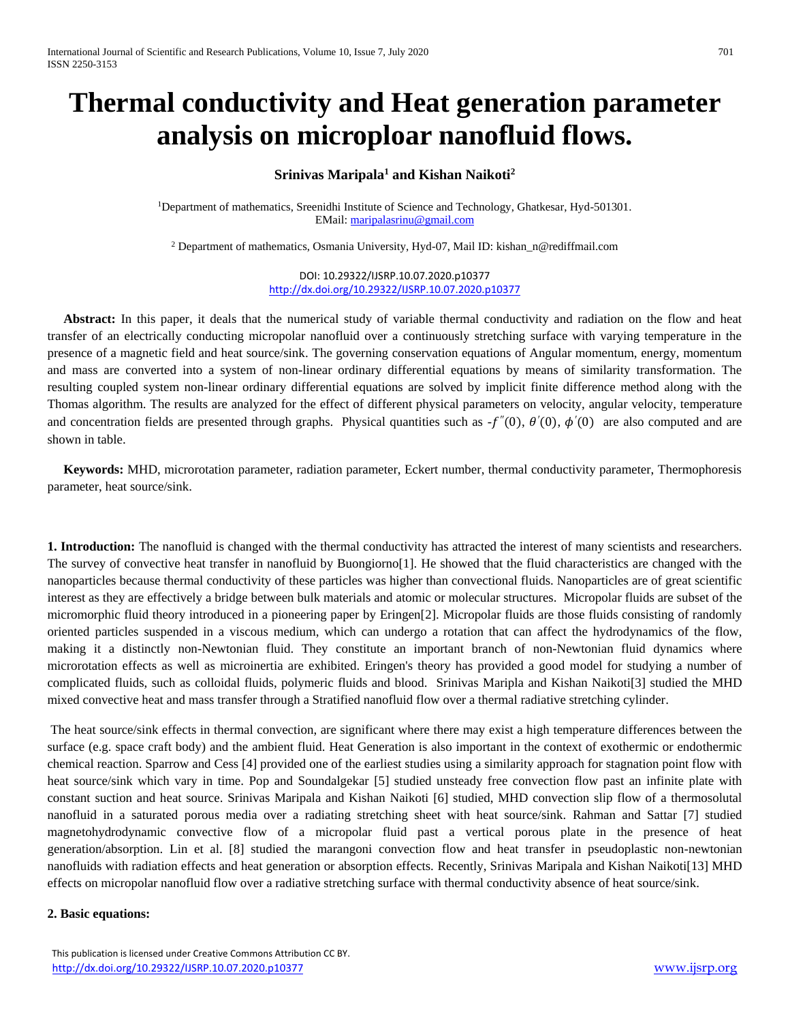# **Thermal conductivity and Heat generation parameter analysis on microploar nanofluid flows.**

# **Srinivas Maripala<sup>1</sup> and Kishan Naikoti<sup>2</sup>**

<sup>1</sup>Department of mathematics, Sreenidhi Institute of Science and Technology, Ghatkesar, Hyd-501301. EMail: [maripalasrinu@gmail.com](mailto:maripalasrinu@gmail.com)

<sup>2</sup> Department of mathematics, Osmania University, Hyd-07, Mail ID: kishan\_n@rediffmail.com

DOI: 10.29322/IJSRP.10.07.2020.p10377 <http://dx.doi.org/10.29322/IJSRP.10.07.2020.p10377>

 **Abstract:** In this paper, it deals that the numerical study of variable thermal conductivity and radiation on the flow and heat transfer of an electrically conducting micropolar nanofluid over a continuously stretching surface with varying temperature in the presence of a magnetic field and heat source/sink. The governing conservation equations of Angular momentum, energy, momentum and mass are converted into a system of non-linear ordinary differential equations by means of similarity transformation. The resulting coupled system non-linear ordinary differential equations are solved by implicit finite difference method along with the Thomas algorithm. The results are analyzed for the effect of different physical parameters on velocity, angular velocity, temperature and concentration fields are presented through graphs. Physical quantities such as  $-f''(0)$ ,  $\theta'(0)$ ,  $\phi'(0)$  are also computed and are shown in table.

 **Keywords:** MHD, microrotation parameter, radiation parameter, Eckert number, thermal conductivity parameter, Thermophoresis parameter, heat source/sink.

**1. Introduction:** The nanofluid is changed with the thermal conductivity has attracted the interest of many scientists and researchers. The survey of convective heat transfer in nanofluid by Buongiorno[1]. He showed that the fluid characteristics are changed with the nanoparticles because thermal conductivity of these particles was higher than convectional fluids. Nanoparticles are of great scientific interest as they are effectively a bridge between bulk materials and atomic or molecular structures. Micropolar fluids are subset of the micromorphic fluid theory introduced in a pioneering paper by Eringen[2]. Micropolar fluids are those fluids consisting of randomly oriented particles suspended in a viscous medium, which can undergo a rotation that can affect the hydrodynamics of the flow, making it a distinctly non-Newtonian fluid. They constitute an important branch of non-Newtonian fluid dynamics where microrotation effects as well as microinertia are exhibited. Eringen's theory has provided a good model for studying a number of complicated fluids, such as colloidal fluids, polymeric fluids and blood. Srinivas Maripla and Kishan Naikoti[3] studied the [MHD](https://scholar.google.co.in/citations?view_op=view_citation&hl=en&user=8u_SebkAAAAJ&citation_for_view=8u_SebkAAAAJ:qjMakFHDy7sC)  [mixed convective heat and mass transfer through a Stratified nanofluid flow over a thermal radiative stretching cylinder.](https://scholar.google.co.in/citations?view_op=view_citation&hl=en&user=8u_SebkAAAAJ&citation_for_view=8u_SebkAAAAJ:qjMakFHDy7sC)

The heat source/sink effects in thermal convection, are significant where there may exist a high temperature differences between the surface (e.g. space craft body) and the ambient fluid. Heat Generation is also important in the context of exothermic or endothermic chemical reaction. Sparrow and Cess [4] provided one of the earliest studies using a similarity approach for stagnation point flow with heat source/sink which vary in time. Pop and Soundalgekar [5] studied unsteady free convection flow past an infinite plate with constant suction and heat source. Srinivas Maripala and Kishan Naikoti [6] studied, MHD convection slip flow of a thermosolutal nanofluid in a saturated porous media over a radiating stretching sheet with heat source/sink. Rahman and Sattar [7] studied magnetohydrodynamic convective flow of a micropolar fluid past a vertical porous plate in the presence of heat generation/absorption. Lin et al. [8] studied the marangoni convection flow and heat transfer in pseudoplastic non-newtonian nanofluids with radiation effects and heat generation or absorption effects. Recently, Srinivas Maripala and Kishan Naikoti[13] MHD effects on micropolar nanofluid flow over a radiative stretching surface with thermal conductivity absence of heat source/sink.

## **2. Basic equations:**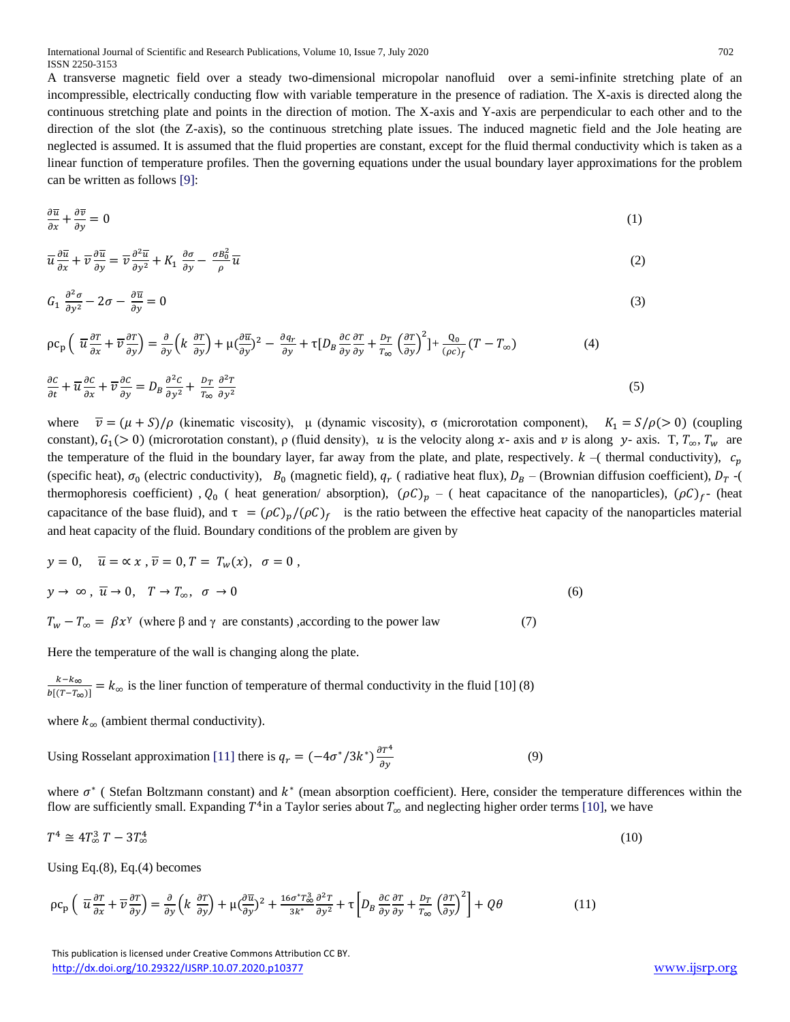A transverse magnetic field over a steady two-dimensional micropolar nanofluid over a semi-infinite stretching plate of an incompressible, electrically conducting flow with variable temperature in the presence of radiation. The X-axis is directed along the continuous stretching plate and points in the direction of motion. The X-axis and Y-axis are perpendicular to each other and to the direction of the slot (the Z-axis), so the continuous stretching plate issues. The induced magnetic field and the Jole heating are neglected is assumed. It is assumed that the fluid properties are constant, except for the fluid thermal conductivity which is taken as a linear function of temperature profiles. Then the governing equations under the usual boundary layer approximations for the problem can be written as follows [9]:

$$
\frac{\partial \overline{u}}{\partial x} + \frac{\partial \overline{v}}{\partial y} = 0 \tag{1}
$$

$$
\overline{u}\frac{\partial \overline{u}}{\partial x} + \overline{v}\frac{\partial \overline{u}}{\partial y} = \overline{v}\frac{\partial^2 \overline{u}}{\partial y^2} + K_1 \frac{\partial \sigma}{\partial y} - \frac{\sigma B_0^2}{\rho} \overline{u}
$$
\n(2)

$$
G_1 \frac{\partial^2 \sigma}{\partial y^2} - 2\sigma - \frac{\partial \overline{u}}{\partial y} = 0
$$
\n<sup>(3)</sup>

$$
\rho c_p \left( \overline{u} \frac{\partial T}{\partial x} + \overline{\nu} \frac{\partial T}{\partial y} \right) = \frac{\partial}{\partial y} \left( k \frac{\partial T}{\partial y} \right) + \mu \left( \frac{\partial \overline{u}}{\partial y} \right)^2 - \frac{\partial q_r}{\partial y} + \tau \left[ D_B \frac{\partial C}{\partial y} \frac{\partial T}{\partial y} + \frac{D_T}{T_{\infty}} \left( \frac{\partial T}{\partial y} \right)^2 \right] + \frac{Q_0}{(\rho c)_f} (T - T_{\infty})
$$
\n
$$
\frac{\partial C}{\partial t} + \overline{u} \frac{\partial C}{\partial x} + \overline{\nu} \frac{\partial C}{\partial y} = D_B \frac{\partial^2 C}{\partial y^2} + \frac{D_T}{T_{\infty}} \frac{\partial^2 T}{\partial y^2}
$$
\n
$$
(5)
$$

where  $\overline{v} = (\mu + S)/\rho$  (kinematic viscosity),  $\mu$  (dynamic viscosity),  $\sigma$  (microrotation component),  $K_1 = S/\rho > 0$ ) (coupling constant),  $G_1(> 0)$  (microrotation constant),  $\rho$  (fluid density), u is the velocity along x- axis and v is along y- axis. T,  $T_{\infty}$ ,  $T_w$  are the temperature of the fluid in the boundary layer, far away from the plate, and plate, respectively.  $k -$ ( thermal conductivity),  $c_p$ (specific heat),  $\sigma_0$  (electric conductivity),  $B_0$  (magnetic field),  $q_r$  (radiative heat flux),  $D_B$  – (Brownian diffusion coefficient),  $D_T$  -( thermophoresis coefficient),  $Q_0$  (heat generation/absorption),  $(\rho C)_p$  – (heat capacitance of the nanoparticles),  $(\rho C)_f$ - (heat capacitance of the base fluid), and  $\tau = (\rho C)_p/(\rho C)_f$  is the ratio between the effective heat capacity of the nanoparticles material and heat capacity of the fluid. Boundary conditions of the problem are given by

$$
y = 0, \quad \overline{u} = \alpha \, x \,, \overline{v} = 0, T = T_w(x), \quad \sigma = 0,
$$
  
\n
$$
y \to \infty, \quad \overline{u} \to 0, \quad T \to T_{\infty}, \quad \sigma \to 0
$$
  
\n
$$
T_w - T_{\infty} = \beta x^{\gamma} \text{ (where } \beta \text{ and } \gamma \text{ are constants), according to the power law} \tag{7}
$$

Here the temperature of the wall is changing along the plate.

 $T_{\infty}$ 

 $\partial y^2$ 

 $k-k_{\infty}$  $\frac{k-k_{\infty}}{b[(T-T_{\infty})]} = k_{\infty}$  is the liner function of temperature of thermal conductivity in the fluid [10] (8)

where  $k_{\infty}$  (ambient thermal conductivity).

Using Rosselant approximation [11] there is 
$$
q_r = (-4\sigma^*/3k^*) \frac{\partial T^4}{\partial y}
$$
 (9)

where  $\sigma^*$  (Stefan Boltzmann constant) and  $k^*$  (mean absorption coefficient). Here, consider the temperature differences within the flow are sufficiently small. Expanding  $T^4$ in a Taylor series about  $T_\infty$  and neglecting higher order terms [10], we have

$$
T^4 \cong 4T_\infty^3 \, T - 3T_\infty^4 \tag{10}
$$

Using Eq.(8), Eq.(4) becomes

$$
\rho c_p \left( \overline{u} \frac{\partial r}{\partial x} + \overline{v} \frac{\partial r}{\partial y} \right) = \frac{\partial}{\partial y} \left( k \frac{\partial r}{\partial y} \right) + \mu \left( \frac{\partial \overline{u}}{\partial y} \right)^2 + \frac{16\sigma^* r_{\infty}^3}{3k^*} \frac{\partial^2 r}{\partial y^2} + \tau \left[ D_B \frac{\partial c}{\partial y} \frac{\partial r}{\partial y} + \frac{D_T}{r_{\infty}} \left( \frac{\partial r}{\partial y} \right)^2 \right] + Q\theta \tag{11}
$$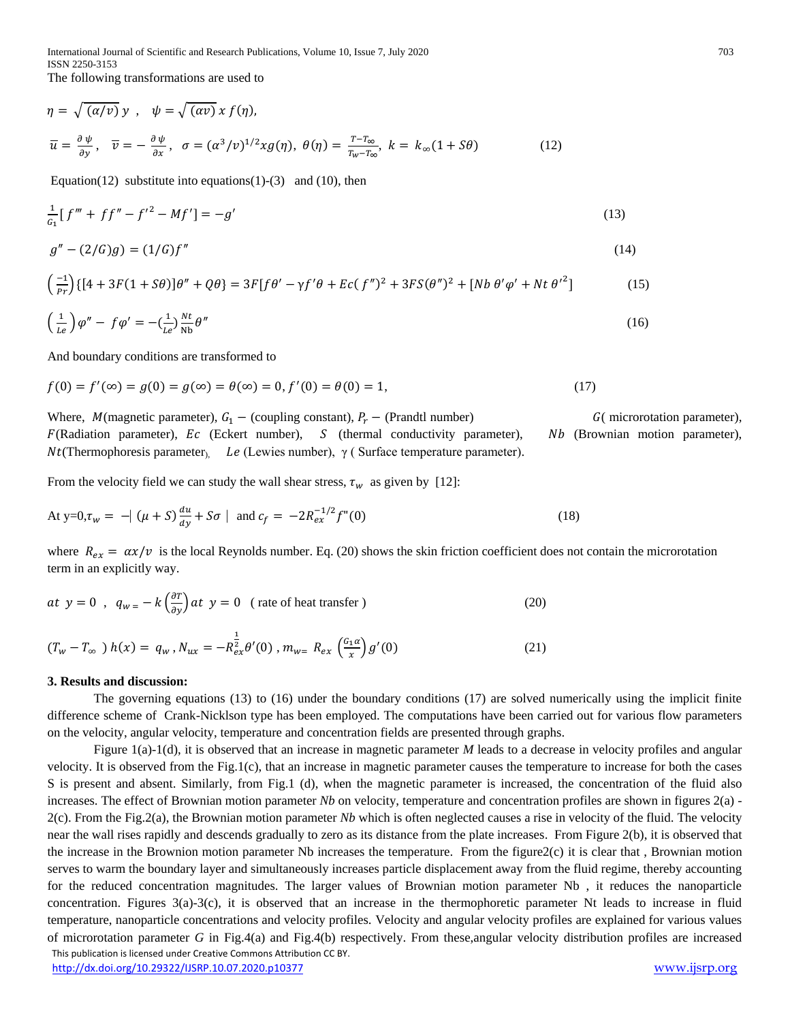$$
\eta = \sqrt{(\alpha/\nu)} y \ , \quad \psi = \sqrt{(\alpha \nu)} x f(\eta),
$$
  

$$
\overline{u} = \frac{\partial \psi}{\partial y}, \quad \overline{\nu} = -\frac{\partial \psi}{\partial x}, \quad \sigma = (\alpha^3/\nu)^{1/2} x g(\eta), \quad \theta(\eta) = \frac{T - T_{\infty}}{T_W - T_{\infty}}, \quad k = k_{\infty} (1 + S\theta)
$$
 (12)

Equation(12) substitute into equations(1)-(3) and (10), then

$$
\frac{1}{c_1} [f''' + ff'' - f'^2 - Mf'] = -g'
$$
\n(13)

$$
g'' - (2/G)g = (1/G)f''
$$
\n(14)

$$
\left(\frac{-1}{pr}\right)\left\{[4+3F(1+S\theta)]\theta''+Q\theta\right\} = 3F[f\theta'-\gamma f'\theta+Ec(f'')^2+3FS(\theta'')^2+[Nb\theta'\varphi'+Nt\theta'^2] \tag{15}
$$

$$
\left(\frac{1}{Le}\right)\varphi'' - f\varphi' = -\left(\frac{1}{Le}\right)\frac{Nt}{Nb}\theta''\tag{16}
$$

And boundary conditions are transformed to

 $\mathbf{1}$ 

$$
f(0) = f'(\infty) = g(0) = g(\infty) = \theta(\infty) = 0, f'(0) = \theta(0) = 1,
$$
\n(17)

Where,  $M$ (magnetic parameter),  $G_1$  – (coupling constant),  $P_r$  – (Prandtl number)  $G$ ( microrotation parameter),  $F(R$ adiation parameter),  $Ec$  (Eckert number), S (thermal conductivity parameter), Nb (Brownian motion parameter),  $Nt$ (Thermophoresis parameter), Le (Lewies number), γ ( Surface temperature parameter).

From the velocity field we can study the wall shear stress,  $\tau_w$  as given by [12]:

At y=0, 
$$
\tau_w = -| (\mu + S) \frac{du}{dy} + S\sigma |
$$
 and  $c_f = -2R_{ex}^{-1/2}f''(0)$  (18)

where  $R_{ex} = \alpha x/v$  is the local Reynolds number. Eq. (20) shows the skin friction coefficient does not contain the microrotation term in an explicitly way.

$$
at \ y = 0 \ , \ q_{w} = -k \left(\frac{\partial T}{\partial y}\right) at \ y = 0 \ \ (\text{rate of heat transfer}) \tag{20}
$$

$$
(T_w - T_{\infty}) h(x) = q_w, N_{ux} = -R_{ex}^{\frac{1}{2}} \theta'(0), m_{w} = R_{ex} \left(\frac{G_1 \alpha}{x}\right) g'(0)
$$
 (21)

#### **3. Results and discussion:**

The governing equations (13) to (16) under the boundary conditions (17) are solved numerically using the implicit finite difference scheme of Crank-Nicklson type has been employed. The computations have been carried out for various flow parameters on the velocity, angular velocity, temperature and concentration fields are presented through graphs.

 This publication is licensed under Creative Commons Attribution CC BY. <http://dx.doi.org/10.29322/IJSRP.10.07.2020.p10377> [www.ijsrp.org](http://ijsrp.org/) Figure 1(a)-1(d), it is observed that an increase in magnetic parameter *M* leads to a decrease in velocity profiles and angular velocity. It is observed from the Fig.1(c), that an increase in magnetic parameter causes the temperature to increase for both the cases S is present and absent. Similarly, from Fig.1 (d), when the magnetic parameter is increased, the concentration of the fluid also increases. The effect of Brownian motion parameter *Nb* on velocity, temperature and concentration profiles are shown in figures 2(a) -2(c). From the Fig.2(a), the Brownian motion parameter *Nb* which is often neglected causes a rise in velocity of the fluid. The velocity near the wall rises rapidly and descends gradually to zero as its distance from the plate increases. From Figure 2(b), it is observed that the increase in the Brownion motion parameter Nb increases the temperature. From the figure2(c) it is clear that , Brownian motion serves to warm the boundary layer and simultaneously increases particle displacement away from the fluid regime, thereby accounting for the reduced concentration magnitudes. The larger values of Brownian motion parameter Nb , it reduces the nanoparticle concentration. Figures 3(a)-3(c), it is observed that an increase in the thermophoretic parameter Nt leads to increase in fluid temperature, nanoparticle concentrations and velocity profiles. Velocity and angular velocity profiles are explained for various values of microrotation parameter *G* in Fig.4(a) and Fig.4(b) respectively. From these,angular velocity distribution profiles are increased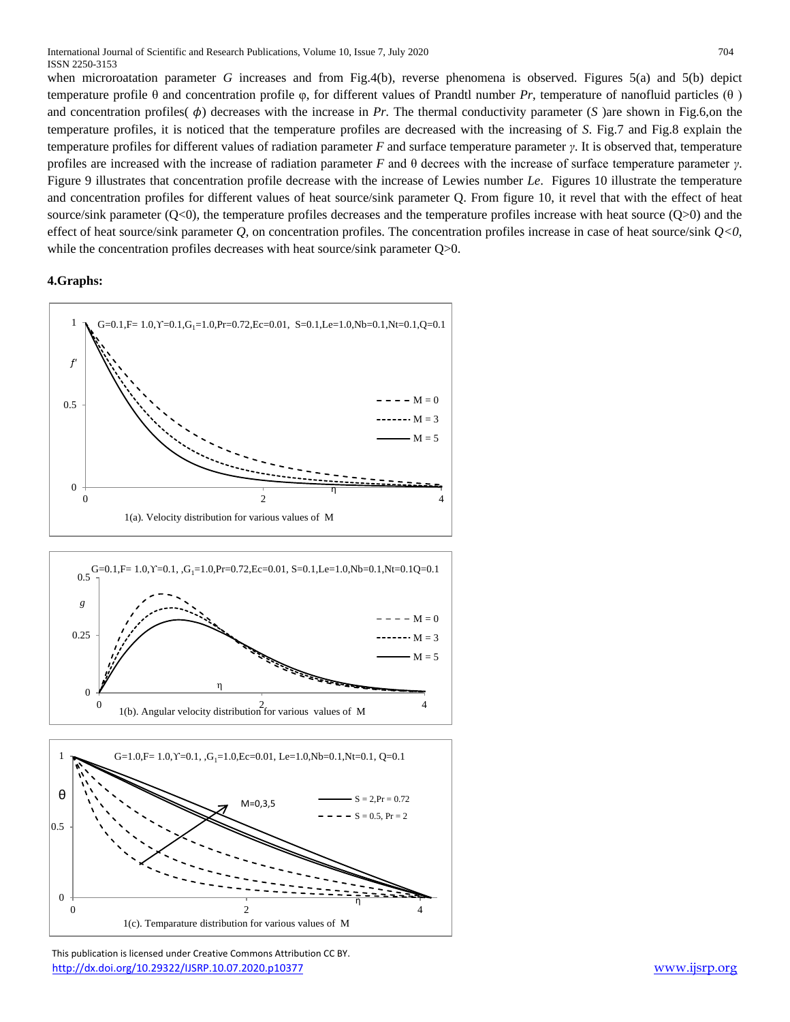when microroatation parameter *G* increases and from Fig.4(b), reverse phenomena is observed. Figures 5(a) and 5(b) depict temperature profile θ and concentration profile φ, for different values of Prandtl number *Pr*, temperature of nanofluid particles (θ ) and concentration profiles( $\phi$ ) decreases with the increase in *Pr*. The thermal conductivity parameter (*S*) are shown in Fig.6,on the temperature profiles, it is noticed that the temperature profiles are decreased with the increasing of *S*. Fig.7 and Fig.8 explain the temperature profiles for different values of radiation parameter *F* and surface temperature parameter *γ*. It is observed that, temperature profiles are increased with the increase of radiation parameter *F* and θ decrees with the increase of surface temperature parameter *γ*. Figure 9 illustrates that concentration profile decrease with the increase of Lewies number *Le*. Figures 10 illustrate the temperature and concentration profiles for different values of heat source/sink parameter Q. From figure 10, it revel that with the effect of heat source/sink parameter  $(Q<0)$ , the temperature profiles decreases and the temperature profiles increase with heat source  $(Q>0)$  and the effect of heat source/sink parameter *Q*, on concentration profiles. The concentration profiles increase in case of heat source/sink *Q<0*, while the concentration profiles decreases with heat source/sink parameter Q>0.

### **4.Graphs:**



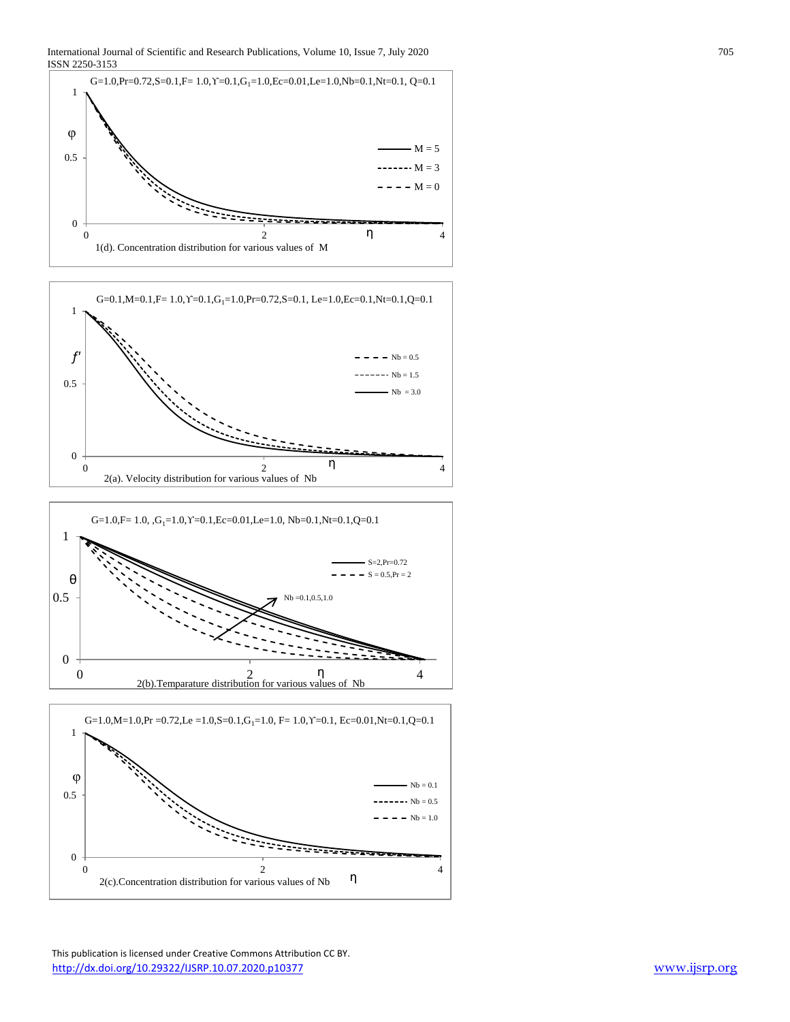





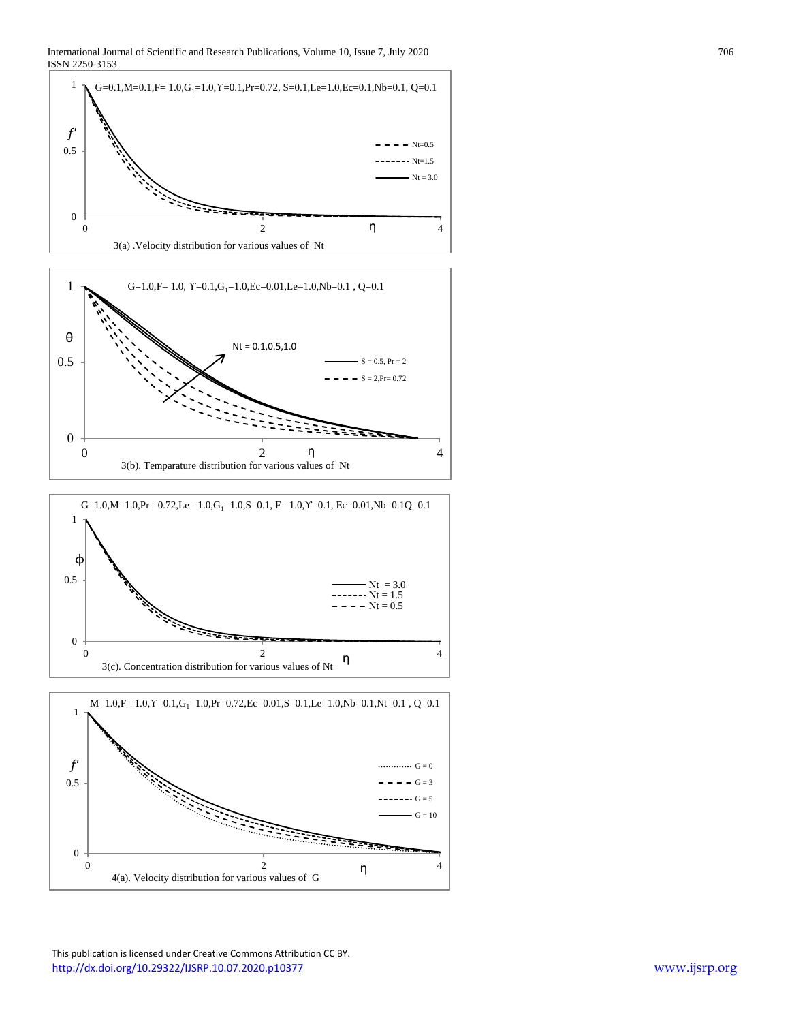





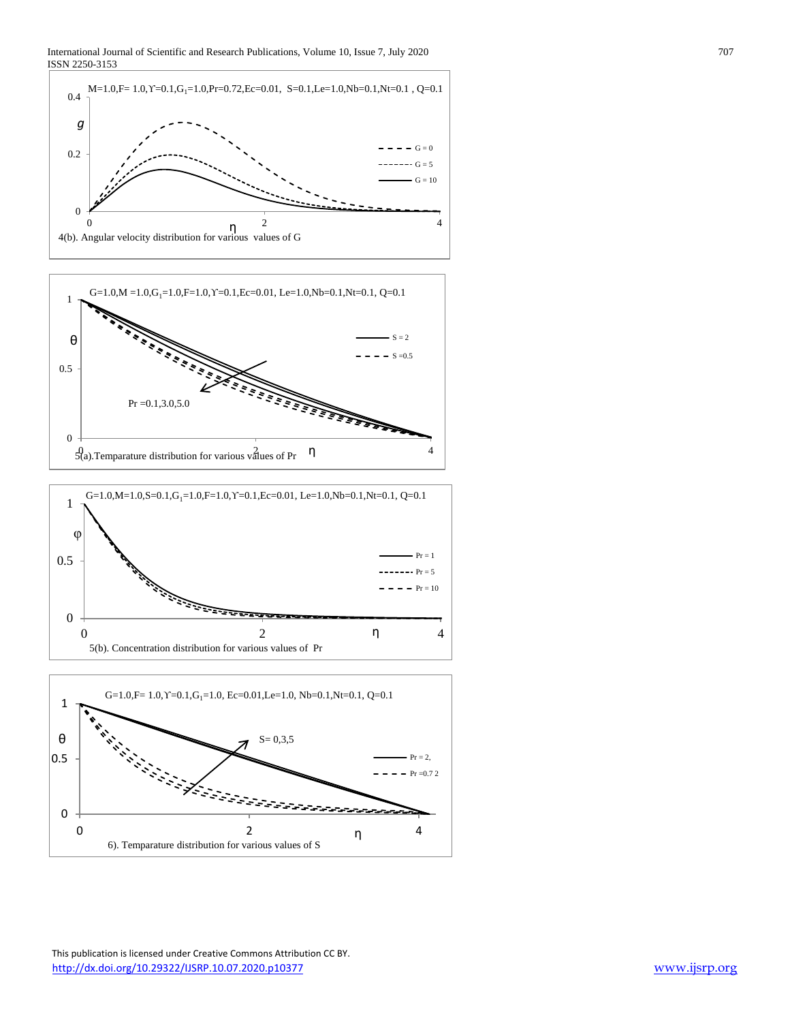





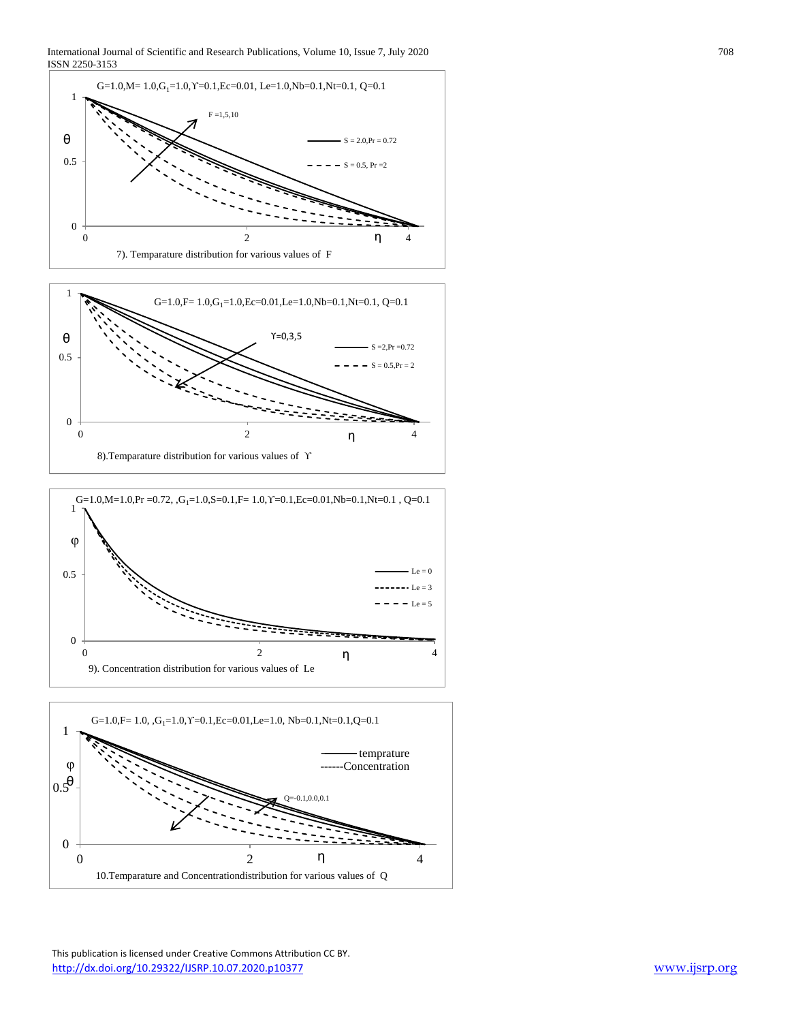